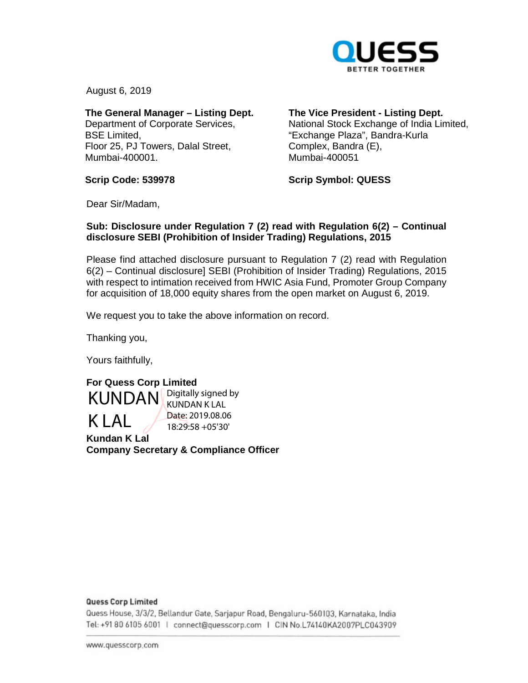

August 6, 2019

**The General Manager – Listing Dept.**  Department of Corporate Services, BSE Limited, Floor 25, PJ Towers, Dalal Street, Mumbai-400001.

**The Vice President - Listing Dept.** 

National Stock Exchange of India Limited, "Exchange Plaza", Bandra-Kurla Complex, Bandra (E), Mumbai-400051

**Scrip Code: 539978** 

**Scrip Symbol: QUESS** 

Dear Sir/Madam,

## **Sub: Disclosure under Regulation 7 (2) read with Regulation 6(2) – Continual disclosure SEBI (Prohibition of Insider Trading) Regulations, 2015**

Please find attached disclosure pursuant to Regulation 7 (2) read with Regulation 6(2) – Continual disclosure] SEBI (Prohibition of Insider Trading) Regulations, 2015 with respect to intimation received from HWIC Asia Fund, Promoter Group Company for acquisition of 18,000 equity shares from the open market on August 6, 2019.

We request you to take the above information on record.

Thanking you,

Yours faithfully,

**For Quess Corp Limited Kundan K Lal Company Secretary & Compliance Officer KUNDAN** Digitally signed by  $K I A I$ KUNDAN K LAL Date: 2019.08.06 18:29:58 +05'30'

### **Quess Corp Limited**

Quess House, 3/3/2, Bellandur Gate, Sarjapur Road, Bengaluru-560103, Karnataka, India om <sup>0</sup>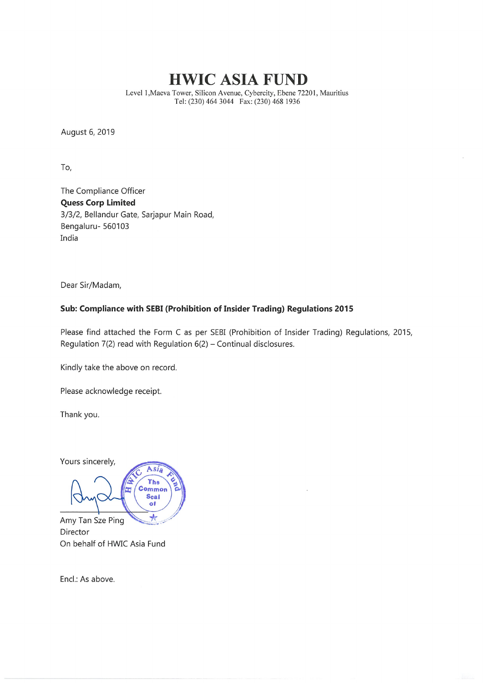# HWIC ASIA FUND

Level l.Maeva Tower, Silicon Avenue, Cybercity, Ebene 72201, Mauritius Tel: (230) 464 3044 Fax: (230) 468 1936

August 6, 2019

To,

The Compliance Officer Quess Corp Limited 3/3/2, Bellandur Gate, Sarjapur Main Road, Bengaluru- 560103 India

Dear Sir/Madam,

### Sub: Compliance with SEBI (Prohibition of Insider Trading} Regulations 2015

Please find attached the Form C as per SEBI (Prohibition of Insider Trading) Regulations, 2015, Regulation  $7(2)$  read with Regulation  $6(2)$  – Continual disclosures.

Kindly take the above on record.

Please acknowledge receipt.

Thank you.

Yours sincerely, Asia The Common Seal of

 $\star$ Amy Tan Sze Ping Director On behalf of HWIC Asia Fund

Encl.: As above.